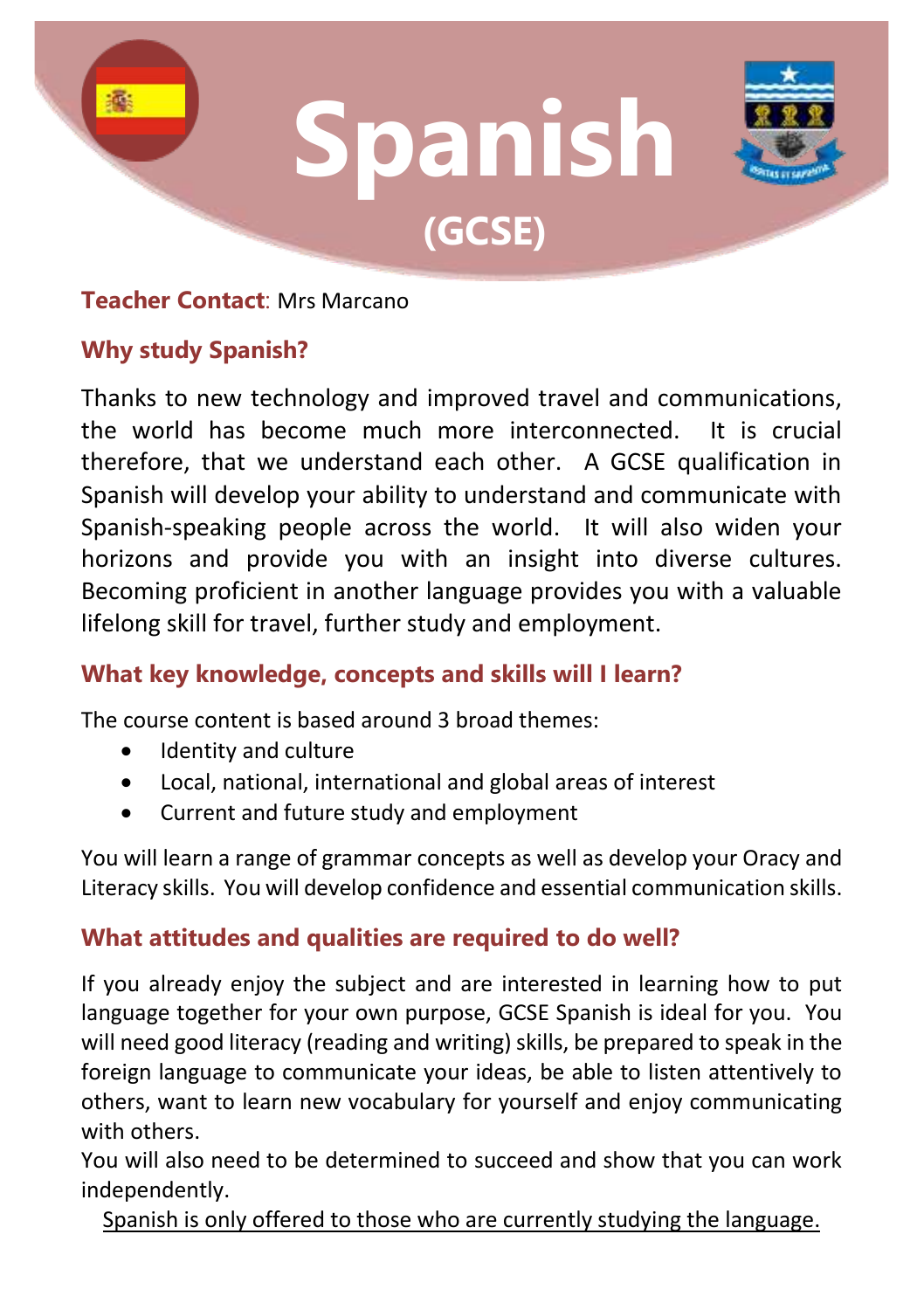

### **Teacher Contact**: Mrs Marcano

# **Why study Spanish?**

Thanks to new technology and improved travel and communications, the world has become much more interconnected. It is crucial therefore, that we understand each other. A GCSE qualification in Spanish will develop your ability to understand and communicate with Spanish-speaking people across the world. It will also widen your horizons and provide you with an insight into diverse cultures. Becoming proficient in another language provides you with a valuable lifelong skill for travel, further study and employment.

# **What key knowledge, concepts and skills will I learn?**

The course content is based around 3 broad themes:

- Identity and culture
- Local, national, international and global areas of interest
- Current and future study and employment

You will learn a range of grammar concepts as well as develop your Oracy and Literacy skills. You will develop confidence and essential communication skills.

# **What attitudes and qualities are required to do well?**

If you already enjoy the subject and are interested in learning how to put language together for your own purpose, GCSE Spanish is ideal for you. You will need good literacy (reading and writing) skills, be prepared to speak in the foreign language to communicate your ideas, be able to listen attentively to others, want to learn new vocabulary for yourself and enjoy communicating with others.

You will also need to be determined to succeed and show that you can work independently.

Spanish is only offered to those who are currently studying the language.